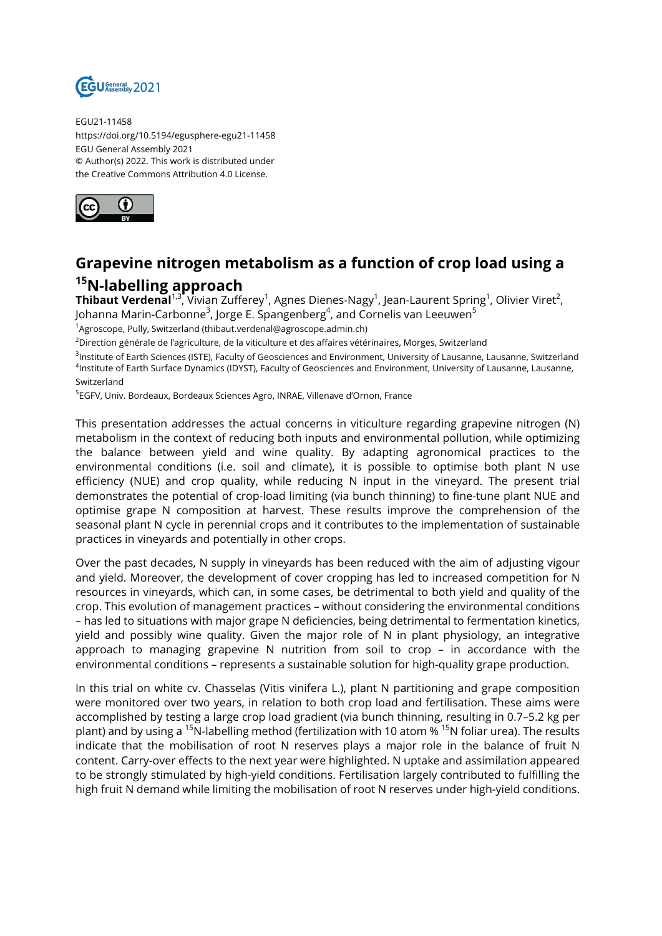

EGU21-11458 https://doi.org/10.5194/egusphere-egu21-11458 EGU General Assembly 2021 © Author(s) 2022. This work is distributed under the Creative Commons Attribution 4.0 License.



## **Grapevine nitrogen metabolism as a function of crop load using a <sup>15</sup>N-labelling approach**

 ${\sf Thibaut Verdenal}^{1,3}$ , Vivian Zufferey $^1$ , Agnes Dienes-Nagy $^1$ , Jean-Laurent Spring $^1$ , Olivier Viret $^2$ , Johanna Marin-Carbonne<sup>3</sup>, Jorge E. Spangenberg<sup>4</sup>, and Cornelis van Leeuwen<sup>5</sup>

<sup>1</sup>Agroscope, Pully, Switzerland (thibaut.verdenal@agroscope.admin.ch)

<sup>2</sup>Direction générale de l'agriculture, de la viticulture et des affaires vétérinaires, Morges, Switzerland

<sup>3</sup>lnstitute of Earth Sciences (ISTE), Faculty of Geosciences and Environment, University of Lausanne, Lausanne, Switzerland 4 Institute of Earth Surface Dynamics (IDYST), Faculty of Geosciences and Environment, University of Lausanne, Lausanne, Switzerland

<sup>5</sup>EGFV, Univ. Bordeaux, Bordeaux Sciences Agro, INRAE, Villenave d'Ornon, France

This presentation addresses the actual concerns in viticulture regarding grapevine nitrogen (N) metabolism in the context of reducing both inputs and environmental pollution, while optimizing the balance between yield and wine quality. By adapting agronomical practices to the environmental conditions (i.e. soil and climate), it is possible to optimise both plant N use efficiency (NUE) and crop quality, while reducing N input in the vineyard. The present trial demonstrates the potential of crop-load limiting (via bunch thinning) to fine-tune plant NUE and optimise grape N composition at harvest. These results improve the comprehension of the seasonal plant N cycle in perennial crops and it contributes to the implementation of sustainable practices in vineyards and potentially in other crops.

Over the past decades, N supply in vineyards has been reduced with the aim of adjusting vigour and yield. Moreover, the development of cover cropping has led to increased competition for N resources in vineyards, which can, in some cases, be detrimental to both yield and quality of the crop. This evolution of management practices – without considering the environmental conditions – has led to situations with major grape N deficiencies, being detrimental to fermentation kinetics, yield and possibly wine quality. Given the major role of N in plant physiology, an integrative approach to managing grapevine N nutrition from soil to crop – in accordance with the environmental conditions – represents a sustainable solution for high-quality grape production.

In this trial on white cv. Chasselas (Vitis vinifera L.), plant N partitioning and grape composition were monitored over two years, in relation to both crop load and fertilisation. These aims were accomplished by testing a large crop load gradient (via bunch thinning, resulting in 0.7–5.2 kg per plant) and by using a <sup>15</sup>N-labelling method (fertilization with 10 atom % <sup>15</sup>N foliar urea). The results indicate that the mobilisation of root N reserves plays a major role in the balance of fruit N content. Carry-over effects to the next year were highlighted. N uptake and assimilation appeared to be strongly stimulated by high-yield conditions. Fertilisation largely contributed to fulfilling the high fruit N demand while limiting the mobilisation of root N reserves under high-yield conditions.